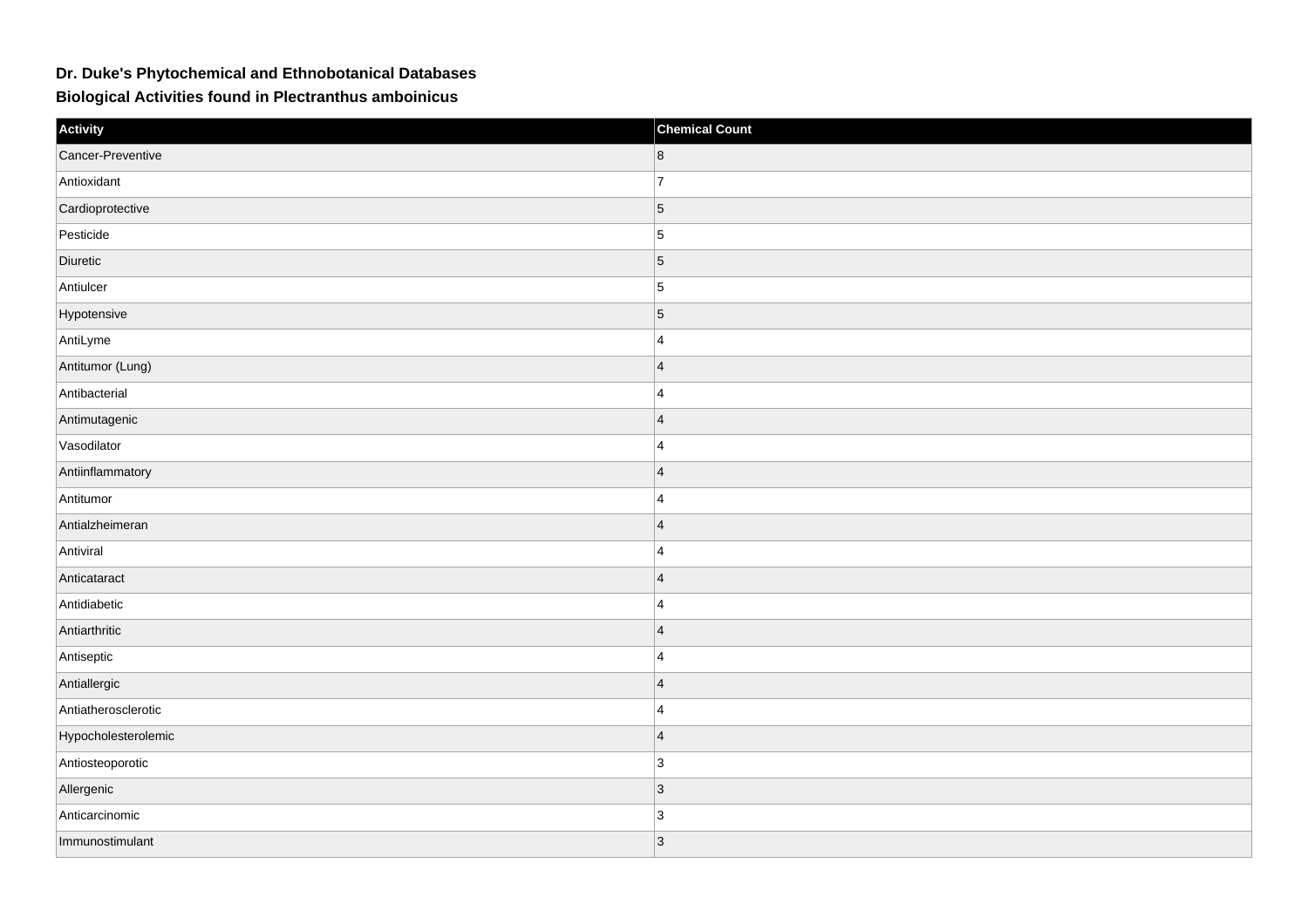## **Dr. Duke's Phytochemical and Ethnobotanical Databases**

**Biological Activities found in Plectranthus amboinicus**

| Activity            | <b>Chemical Count</b> |
|---------------------|-----------------------|
| Cancer-Preventive   | 8                     |
| Antioxidant         | $\overline{7}$        |
| Cardioprotective    | $\vert$ 5             |
| Pesticide           | 5                     |
| Diuretic            | $\vert$ 5             |
| Antiulcer           | 5                     |
| Hypotensive         | $\vert 5 \vert$       |
| AntiLyme            | $\overline{4}$        |
| Antitumor (Lung)    | $\overline{4}$        |
| Antibacterial       | $\overline{4}$        |
| Antimutagenic       | $\overline{4}$        |
| Vasodilator         | $\overline{4}$        |
| Antiinflammatory    | $\overline{4}$        |
| Antitumor           | $\overline{4}$        |
| Antialzheimeran     | $\overline{4}$        |
| Antiviral           | 4                     |
| Anticataract        | $\overline{4}$        |
| Antidiabetic        | $\overline{4}$        |
| Antiarthritic       | $\overline{4}$        |
| Antiseptic          | $\overline{4}$        |
| Antiallergic        | $ 4\rangle$           |
| Antiatherosclerotic | $\overline{4}$        |
| Hypocholesterolemic | $\overline{4}$        |
| Antiosteoporotic    | 3                     |
| Allergenic          | $ 3\rangle$           |
| Anticarcinomic      | 3                     |
| Immunostimulant     | 3                     |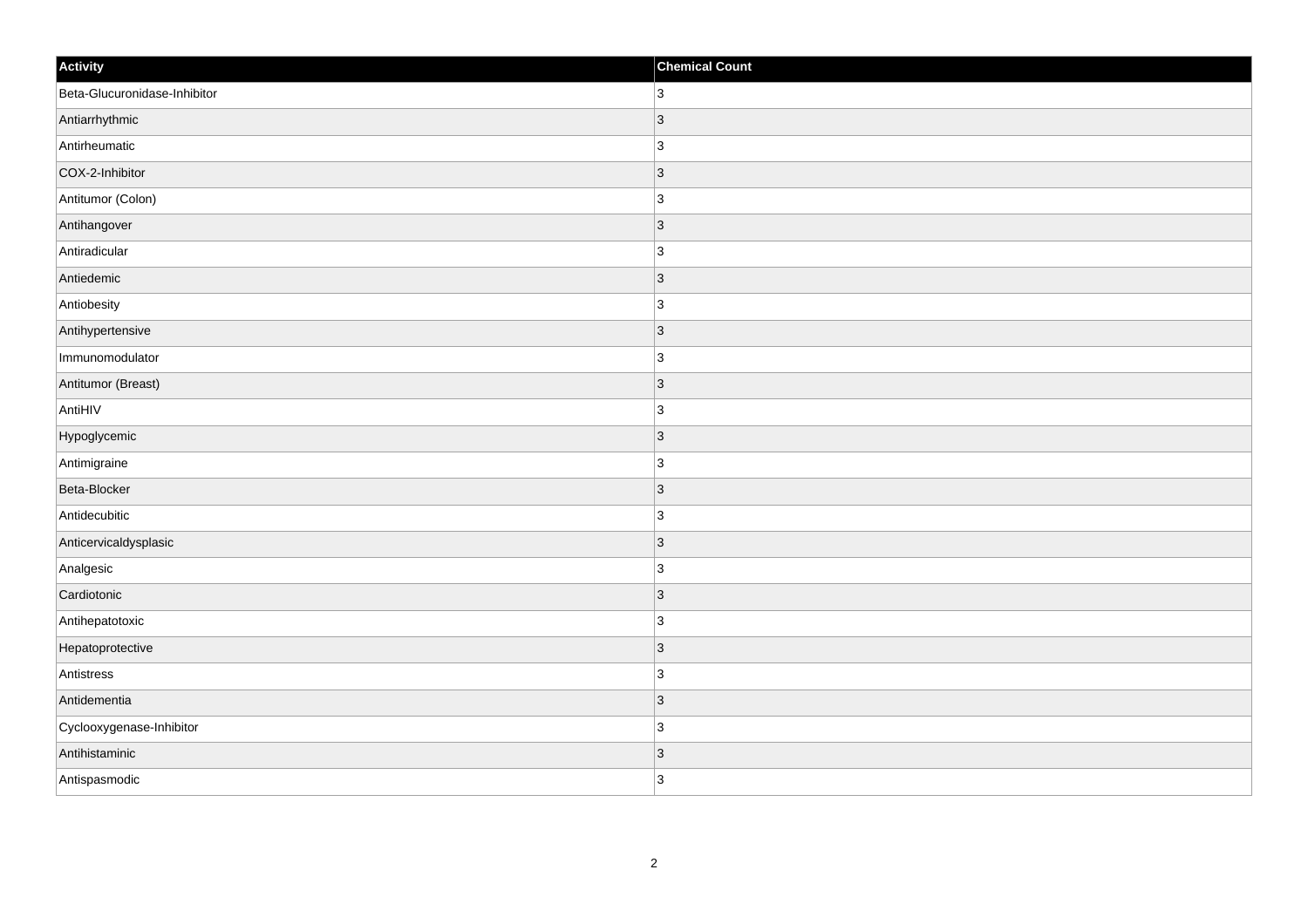| Activity                     | <b>Chemical Count</b> |
|------------------------------|-----------------------|
| Beta-Glucuronidase-Inhibitor | 3 <sup>1</sup>        |
| Antiarrhythmic               | 3                     |
| Antirheumatic                | $\overline{3}$        |
| COX-2-Inhibitor              | $ 3\rangle$           |
| Antitumor (Colon)            | 3                     |
| Antihangover                 | 3                     |
| Antiradicular                | 3                     |
| Antiedemic                   | 3                     |
| Antiobesity                  | $\overline{3}$        |
| Antihypertensive             | $ 3\rangle$           |
| Immunomodulator              | 3                     |
| Antitumor (Breast)           | 3                     |
| AntiHIV                      | $\overline{3}$        |
| Hypoglycemic                 | $\overline{3}$        |
| Antimigraine                 | 3                     |
| Beta-Blocker                 | $ 3\rangle$           |
| Antidecubitic                | $\overline{3}$        |
| Anticervicaldysplasic        | 3                     |
| Analgesic                    | $\overline{3}$        |
| Cardiotonic                  | 3                     |
| Antihepatotoxic              | 3                     |
| Hepatoprotective             | 3                     |
| Antistress                   | 3                     |
| Antidementia                 | 3                     |
| Cyclooxygenase-Inhibitor     | $\overline{3}$        |
| Antihistaminic               | 3                     |
| Antispasmodic                | 3                     |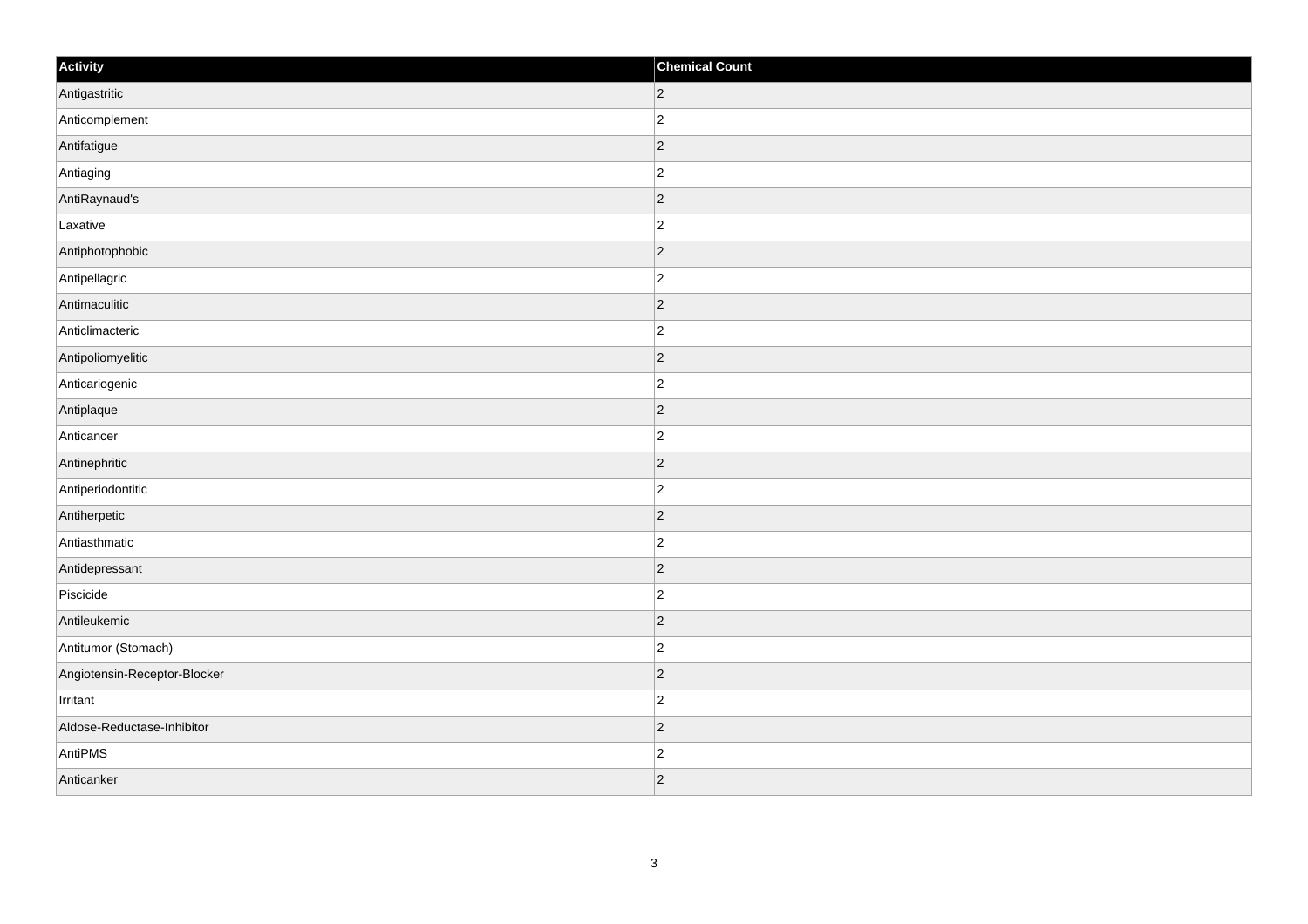| Activity                     | <b>Chemical Count</b> |
|------------------------------|-----------------------|
| Antigastritic                | $ 2\rangle$           |
| Anticomplement               | $\overline{2}$        |
| Antifatigue                  | $\vert$ 2             |
| Antiaging                    | $\overline{2}$        |
| AntiRaynaud's                | $\overline{2}$        |
| Laxative                     | $\overline{c}$        |
| Antiphotophobic              | $\vert$ 2             |
| Antipellagric                | $\overline{2}$        |
| Antimaculitic                | $\overline{2}$        |
| Anticlimacteric              | $\overline{2}$        |
| Antipoliomyelitic            | $\overline{2}$        |
| Anticariogenic               | $\overline{c}$        |
| Antiplaque                   | $\vert$ 2             |
| Anticancer                   | $\overline{c}$        |
| Antinephritic                | $\overline{2}$        |
| Antiperiodontitic            | $\overline{2}$        |
| Antiherpetic                 | $\overline{2}$        |
| Antiasthmatic                | $\overline{2}$        |
| Antidepressant               | $\vert$ 2             |
| Piscicide                    | $\overline{c}$        |
| Antileukemic                 | $\vert$ 2             |
| Antitumor (Stomach)          | $\overline{c}$        |
| Angiotensin-Receptor-Blocker | $\vert$ 2             |
| Irritant                     | $\overline{2}$        |
| Aldose-Reductase-Inhibitor   | $\vert$ 2             |
| AntiPMS                      | $\overline{c}$        |
| Anticanker                   | $ 2\rangle$           |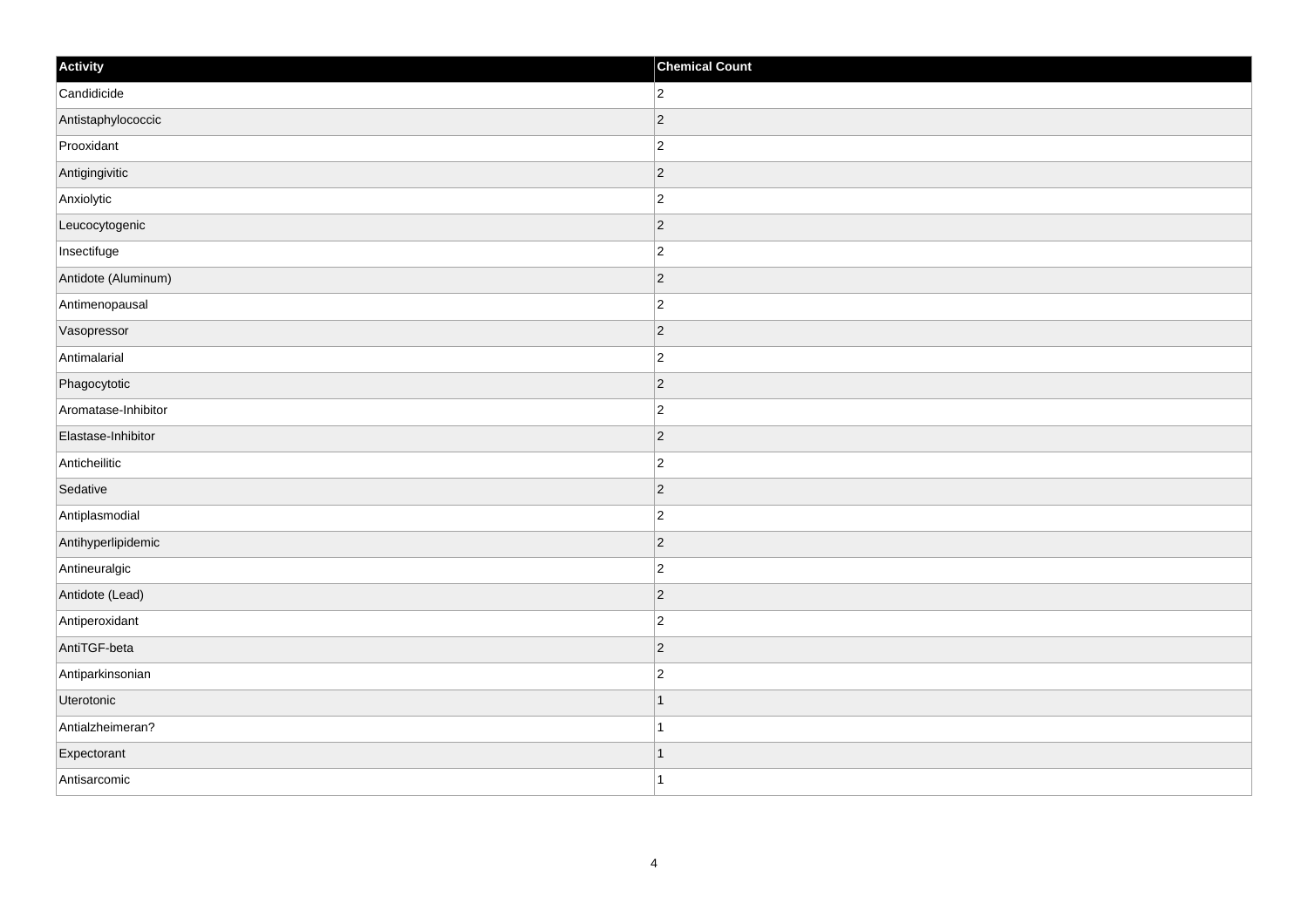| Activity            | <b>Chemical Count</b> |
|---------------------|-----------------------|
| Candidicide         | $ 2\rangle$           |
| Antistaphylococcic  | $ 2\rangle$           |
| Prooxidant          | $\vert$ 2             |
| Antigingivitic      | $ 2\rangle$           |
| Anxiolytic          | $ 2\rangle$           |
| Leucocytogenic      | $ 2\rangle$           |
| Insectifuge         | $ 2\rangle$           |
| Antidote (Aluminum) | $\vert$ 2             |
| Antimenopausal      | $\vert$ 2             |
| Vasopressor         | $ 2\rangle$           |
| Antimalarial        | $ 2\rangle$           |
| Phagocytotic        | $ 2\rangle$           |
| Aromatase-Inhibitor | $ 2\rangle$           |
| Elastase-Inhibitor  | $ 2\rangle$           |
| Anticheilitic       | $ 2\rangle$           |
| Sedative            | $ 2\rangle$           |
| Antiplasmodial      | $ 2\rangle$           |
| Antihyperlipidemic  | $ 2\rangle$           |
| Antineuralgic       | $ 2\rangle$           |
| Antidote (Lead)     | $\overline{2}$        |
| Antiperoxidant      | $ 2\rangle$           |
| AntiTGF-beta        | $ 2\rangle$           |
| Antiparkinsonian    | $ 2\rangle$           |
| Uterotonic          | $\vert$ 1             |
| Antialzheimeran?    | $\vert$ 1             |
| Expectorant         | $\mathbf{1}$          |
| Antisarcomic        | $\vert$ 1             |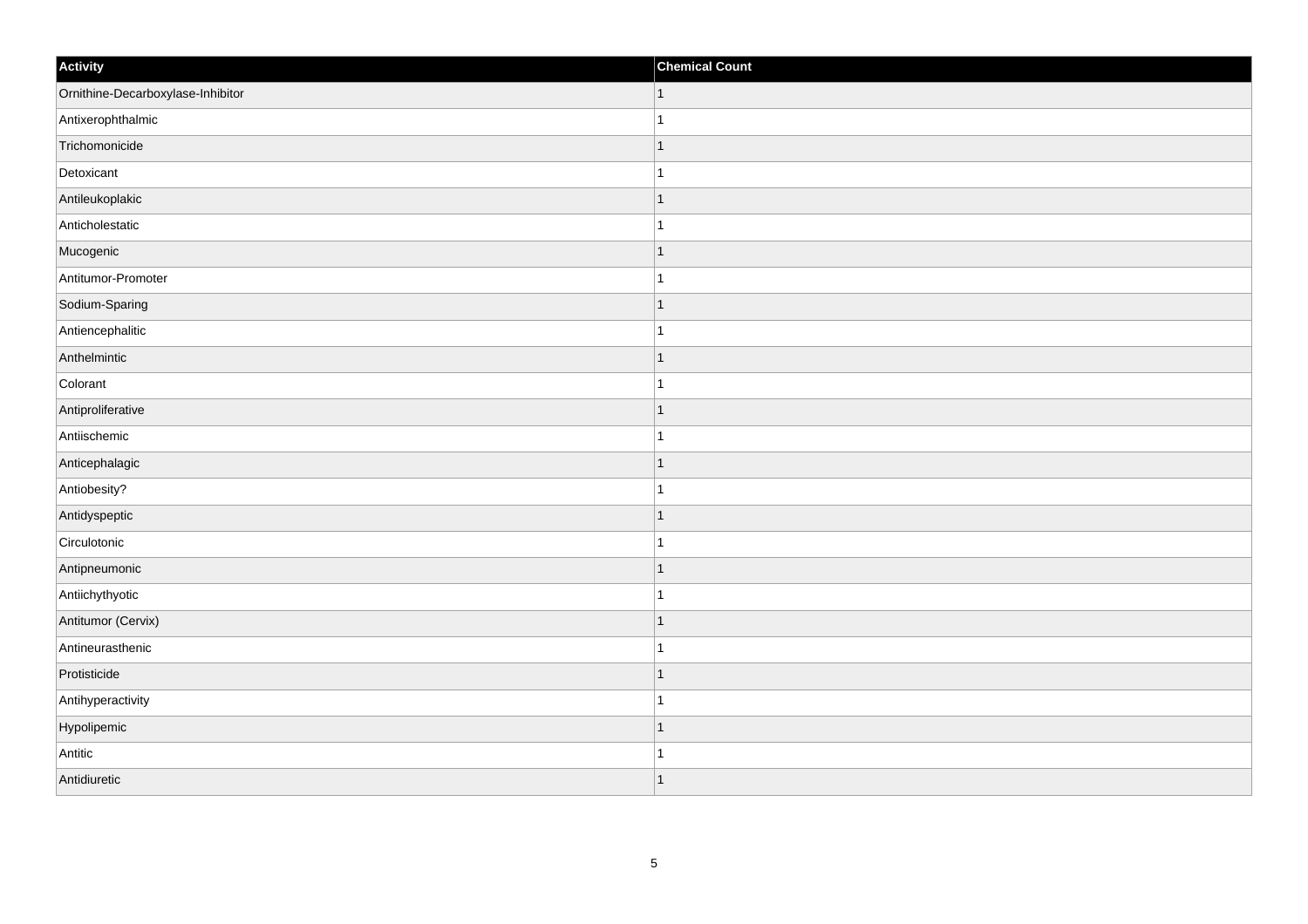| Activity                          | <b>Chemical Count</b>    |
|-----------------------------------|--------------------------|
| Ornithine-Decarboxylase-Inhibitor | $\vert$ 1                |
| Antixerophthalmic                 |                          |
| Trichomonicide                    |                          |
| Detoxicant                        |                          |
| Antileukoplakic                   |                          |
| Anticholestatic                   |                          |
| Mucogenic                         | $\overline{\phantom{a}}$ |
| Antitumor-Promoter                | 1                        |
| Sodium-Sparing                    |                          |
| Antiencephalitic                  |                          |
| Anthelmintic                      |                          |
| Colorant                          |                          |
| Antiproliferative                 | -1                       |
| Antiischemic                      | 1                        |
| Anticephalagic                    |                          |
| Antiobesity?                      |                          |
| Antidyspeptic                     |                          |
| Circulotonic                      |                          |
| Antipneumonic                     | $\mathbf 1$              |
| Antiichythyotic                   |                          |
| Antitumor (Cervix)                | f.                       |
| Antineurasthenic                  |                          |
| Protisticide                      | 1                        |
| Antihyperactivity                 |                          |
| Hypolipemic                       | 1                        |
| Antitic                           |                          |
| Antidiuretic                      | $\overline{\phantom{a}}$ |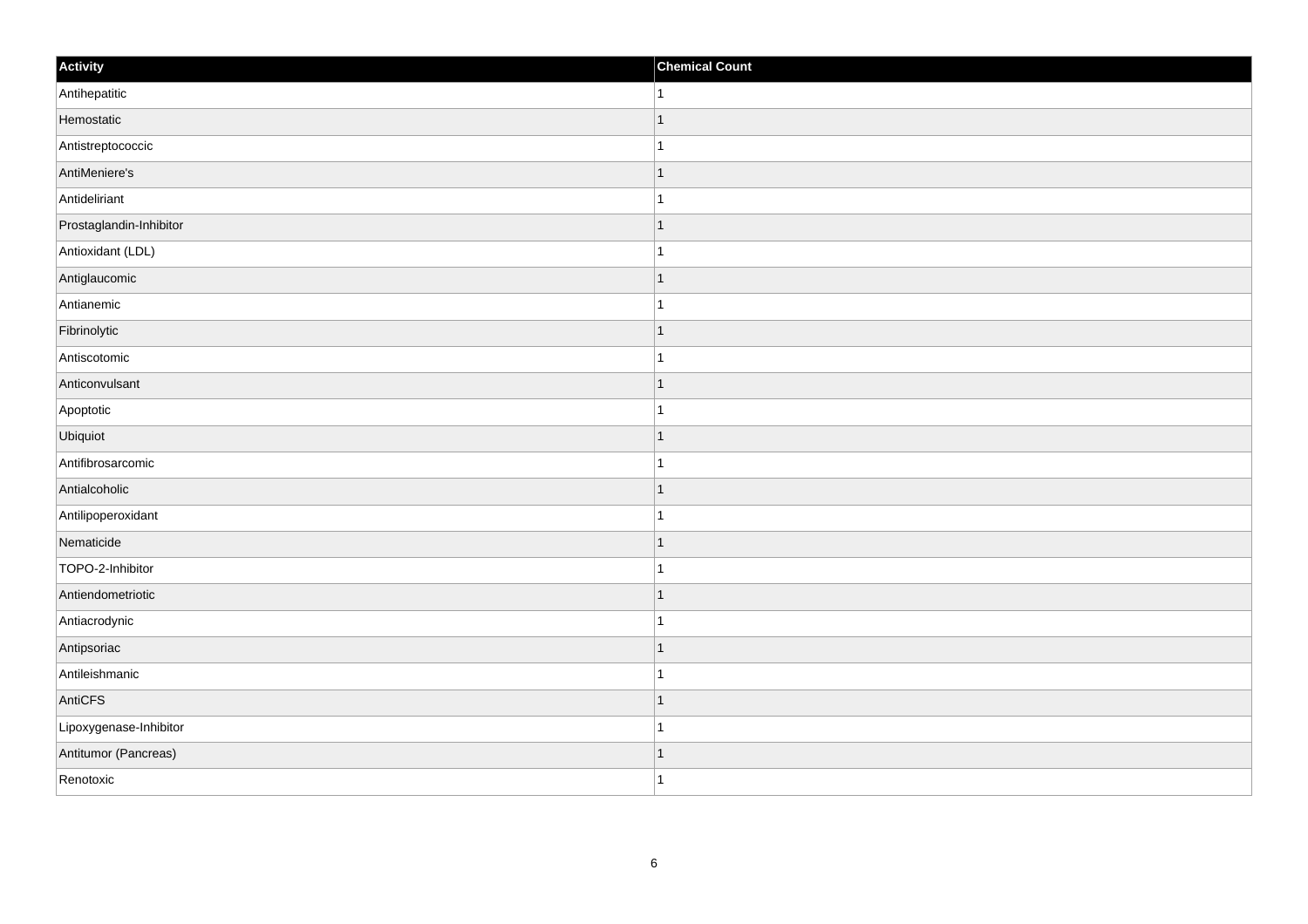| Activity                | <b>Chemical Count</b> |
|-------------------------|-----------------------|
| Antihepatitic           | $\mathbf{1}$          |
| Hemostatic              | $\overline{1}$        |
| Antistreptococcic       |                       |
| AntiMeniere's           | $\mathbf 1$           |
| Antideliriant           | $\mathbf{1}$          |
| Prostaglandin-Inhibitor | -1                    |
| Antioxidant (LDL)       | 1                     |
| Antiglaucomic           | $\mathbf 1$           |
| Antianemic              |                       |
| Fibrinolytic            | $\vert$ 1             |
| Antiscotomic            | $\mathbf{1}$          |
| Anticonvulsant          |                       |
| Apoptotic               | $\mathbf 1$           |
| Ubiquiot                |                       |
| Antifibrosarcomic       |                       |
| Antialcoholic           | $\mathbf{1}$          |
| Antilipoperoxidant      | $\mathbf{1}$          |
| Nematicide              | $\mathbf 1$           |
| TOPO-2-Inhibitor        | 1                     |
| Antiendometriotic       | 1                     |
| Antiacrodynic           | 1                     |
| Antipsoriac             | $\mathbf 1$           |
| Antileishmanic          | 1                     |
| AntiCFS                 | $\overline{1}$        |
| Lipoxygenase-Inhibitor  | $\overline{1}$        |
| Antitumor (Pancreas)    | $\mathbf{1}$          |
| Renotoxic               | $\overline{1}$        |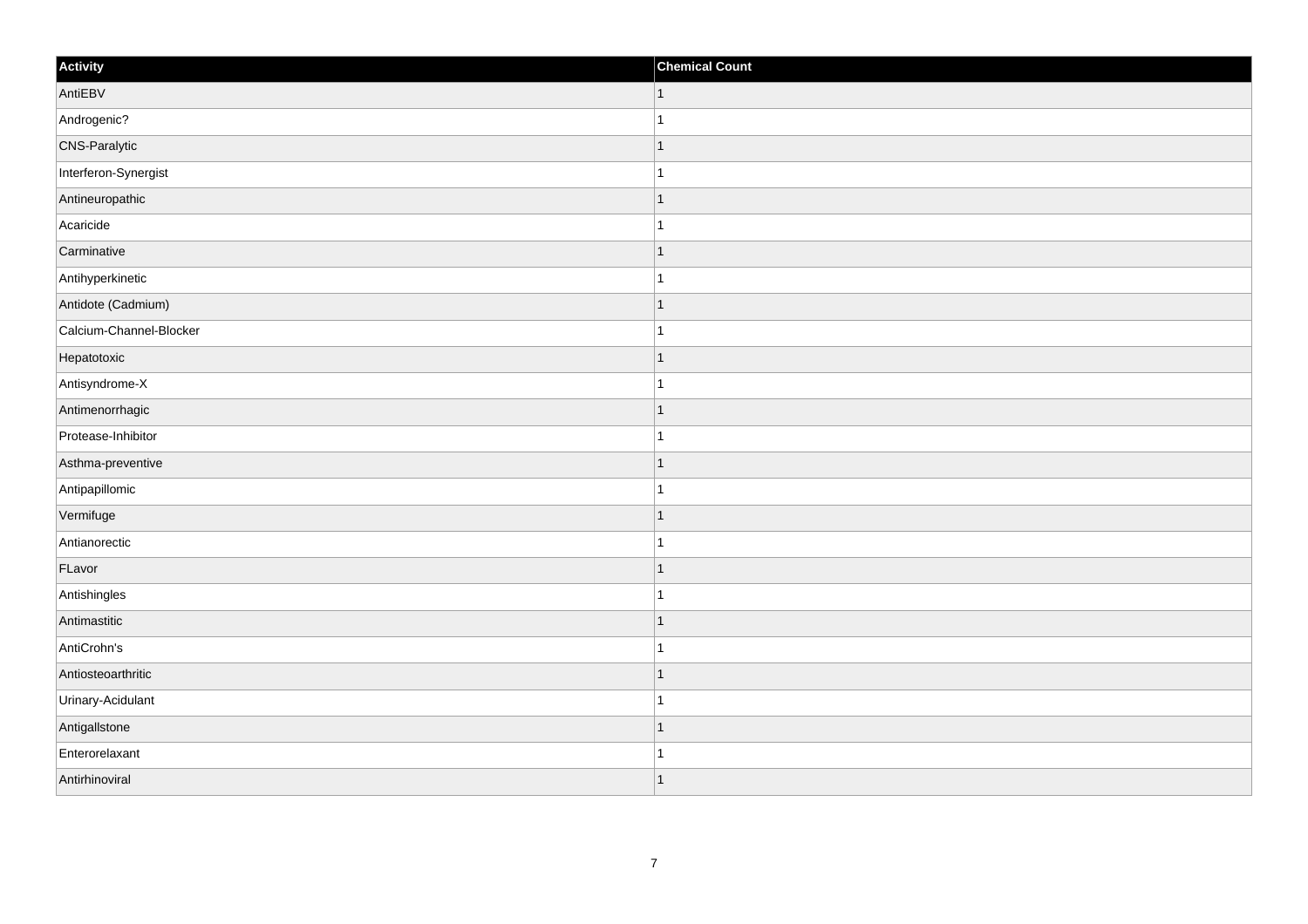| Activity                | <b>Chemical Count</b>    |
|-------------------------|--------------------------|
| AntiEBV                 | $\vert$ 1                |
| Androgenic?             |                          |
| <b>CNS-Paralytic</b>    |                          |
| Interferon-Synergist    |                          |
| Antineuropathic         |                          |
| Acaricide               |                          |
| Carminative             | $\overline{\phantom{a}}$ |
| Antihyperkinetic        | 1                        |
| Antidote (Cadmium)      |                          |
| Calcium-Channel-Blocker |                          |
| Hepatotoxic             |                          |
| Antisyndrome-X          |                          |
| Antimenorrhagic         | -1                       |
| Protease-Inhibitor      | 1                        |
| Asthma-preventive       |                          |
| Antipapillomic          |                          |
| Vermifuge               |                          |
| Antianorectic           |                          |
| FLavor                  | 1                        |
| Antishingles            | -1                       |
| Antimastitic            |                          |
| AntiCrohn's             |                          |
| Antiosteoarthritic      | 1                        |
| Urinary-Acidulant       |                          |
| AntigalIstone           | 1                        |
| Enterorelaxant          |                          |
| Antirhinoviral          |                          |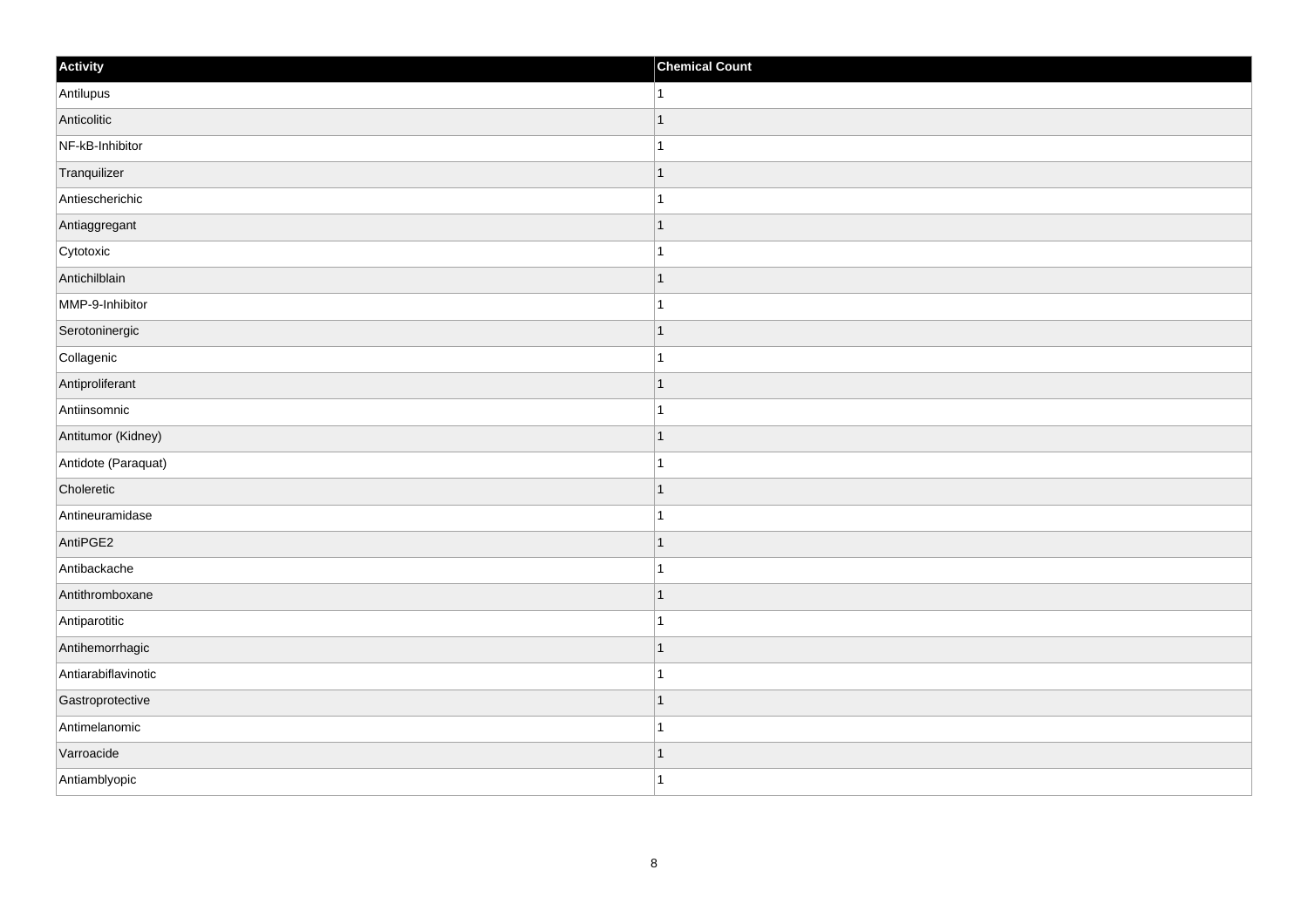| Activity            | <b>Chemical Count</b> |
|---------------------|-----------------------|
| Antilupus           | 1                     |
| Anticolitic         |                       |
| NF-kB-Inhibitor     |                       |
| Tranquilizer        | 1                     |
| Antiescherichic     | 1                     |
| Antiaggregant       |                       |
| Cytotoxic           |                       |
| Antichilblain       |                       |
| MMP-9-Inhibitor     |                       |
| Serotoninergic      | -1                    |
| Collagenic          | 1                     |
| Antiproliferant     |                       |
| Antiinsomnic        |                       |
| Antitumor (Kidney)  |                       |
| Antidote (Paraquat) |                       |
| Choleretic          | 1                     |
| Antineuramidase     | 1                     |
| AntiPGE2            |                       |
| Antibackache        |                       |
| Antithromboxane     |                       |
| Antiparotitic       |                       |
| Antihemorrhagic     | -1                    |
| Antiarabiflavinotic |                       |
| Gastroprotective    |                       |
| Antimelanomic       |                       |
| Varroacide          | -1                    |
| Antiamblyopic       | 1                     |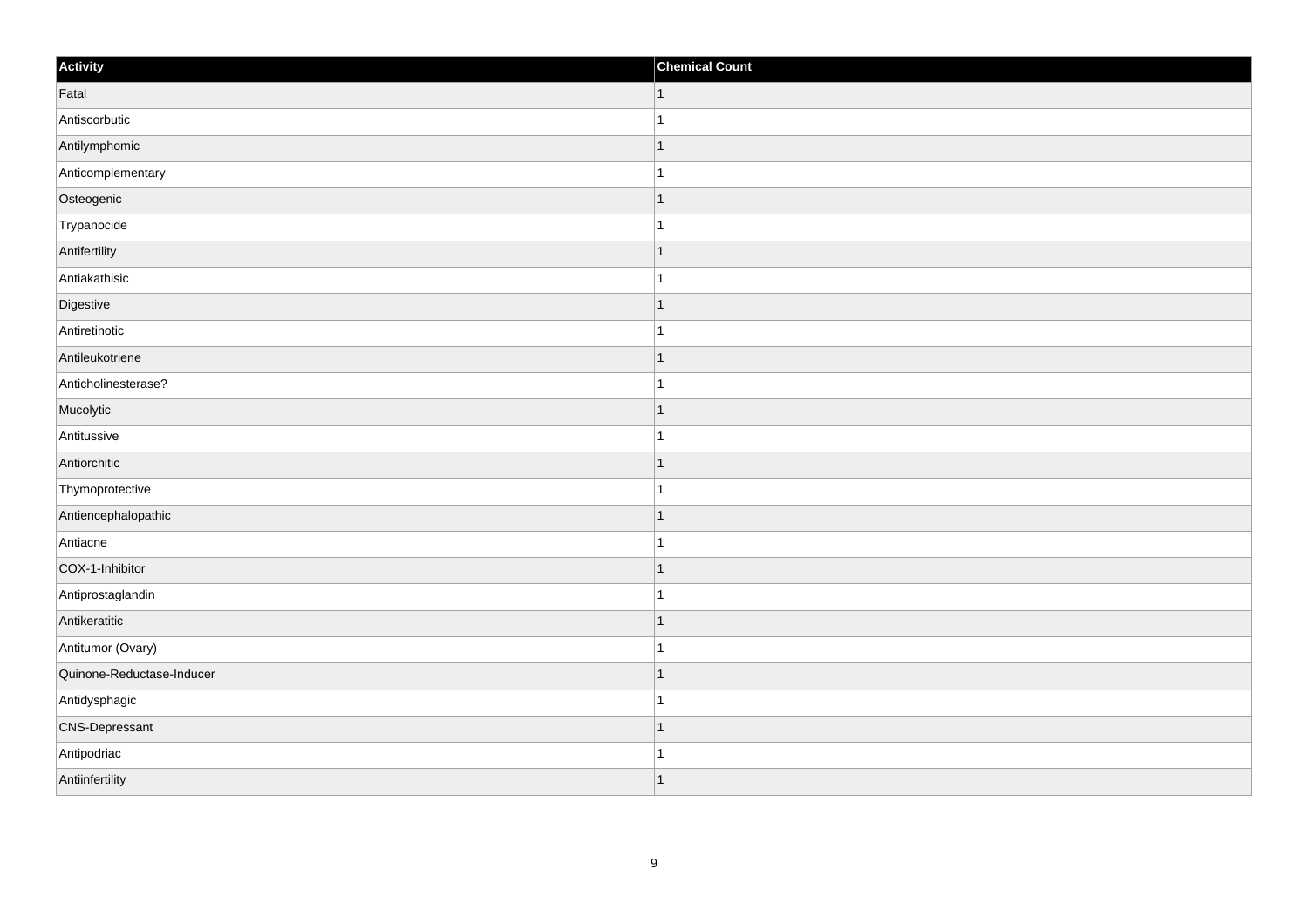| Activity                  | <b>Chemical Count</b> |
|---------------------------|-----------------------|
| Fatal                     | 1                     |
| Antiscorbutic             | $\mathbf{1}$          |
| Antilymphomic             | $\overline{1}$        |
| Anticomplementary         | $\mathbf{1}$          |
| Osteogenic                | $\overline{1}$        |
| Trypanocide               | $\overline{1}$        |
| Antifertility             | $\mathbf{1}$          |
| Antiakathisic             | $\mathbf{1}$          |
| Digestive                 | $\overline{1}$        |
| Antiretinotic             | $\mathbf{1}$          |
| Antileukotriene           | $\overline{1}$        |
| Anticholinesterase?       | $\overline{1}$        |
| Mucolytic                 | $\mathbf{1}$          |
| Antitussive               | $\mathbf{1}$          |
| Antiorchitic              | $\overline{1}$        |
| Thymoprotective           | $\mathbf{1}$          |
| Antiencephalopathic       | $\overline{1}$        |
| Antiacne                  | $\overline{1}$        |
| COX-1-Inhibitor           | $\mathbf{1}$          |
| Antiprostaglandin         | $\mathbf{1}$          |
| Antikeratitic             | $\overline{1}$        |
| Antitumor (Ovary)         | $\mathbf{1}$          |
| Quinone-Reductase-Inducer | $\mathbf{1}$          |
| Antidysphagic             | $\mathbf{1}$          |
| <b>CNS-Depressant</b>     | $\overline{1}$        |
| Antipodriac               | $\mathbf{1}$          |
| Antiinfertility           | $\mathbf{1}$          |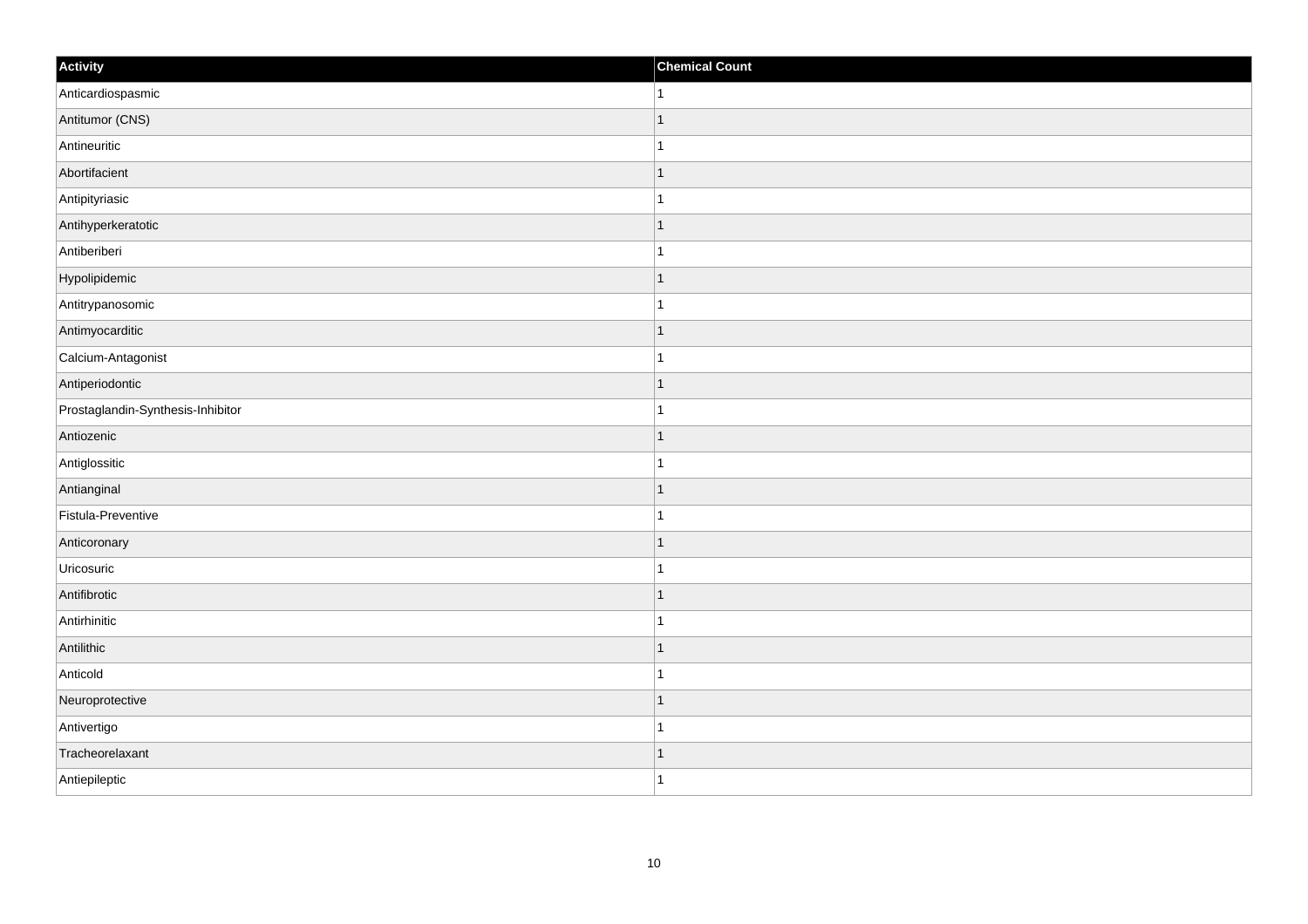| Activity                          | <b>Chemical Count</b> |
|-----------------------------------|-----------------------|
| Anticardiospasmic                 | $\vert$ 1             |
| Antitumor (CNS)                   | $\overline{1}$        |
| Antineuritic                      |                       |
| Abortifacient                     | $\mathbf 1$           |
| Antipityriasic                    | $\mathbf{1}$          |
| Antihyperkeratotic                |                       |
| Antiberiberi                      | 1                     |
| Hypolipidemic                     | $\mathbf 1$           |
| Antitrypanosomic                  |                       |
| Antimyocarditic                   | $\mathbf{1}$          |
| Calcium-Antagonist                | $\mathbf{1}$          |
| Antiperiodontic                   | 1                     |
| Prostaglandin-Synthesis-Inhibitor | 1                     |
| Antiozenic                        | $\mathbf 1$           |
| Antiglossitic                     |                       |
| Antianginal                       | $\mathbf{1}$          |
| Fistula-Preventive                | $\mathbf 1$           |
| Anticoronary                      | $\mathbf 1$           |
| Uricosuric                        | 1                     |
| Antifibrotic                      | 1                     |
| Antirhinitic                      | $\overline{1}$        |
| Antilithic                        | $\mathbf{1}$          |
| Anticold                          | 1                     |
| Neuroprotective                   | $\overline{1}$        |
| Antivertigo                       | $\mathbf{1}$          |
| Tracheorelaxant                   | 1                     |
| Antiepileptic                     | $\overline{1}$        |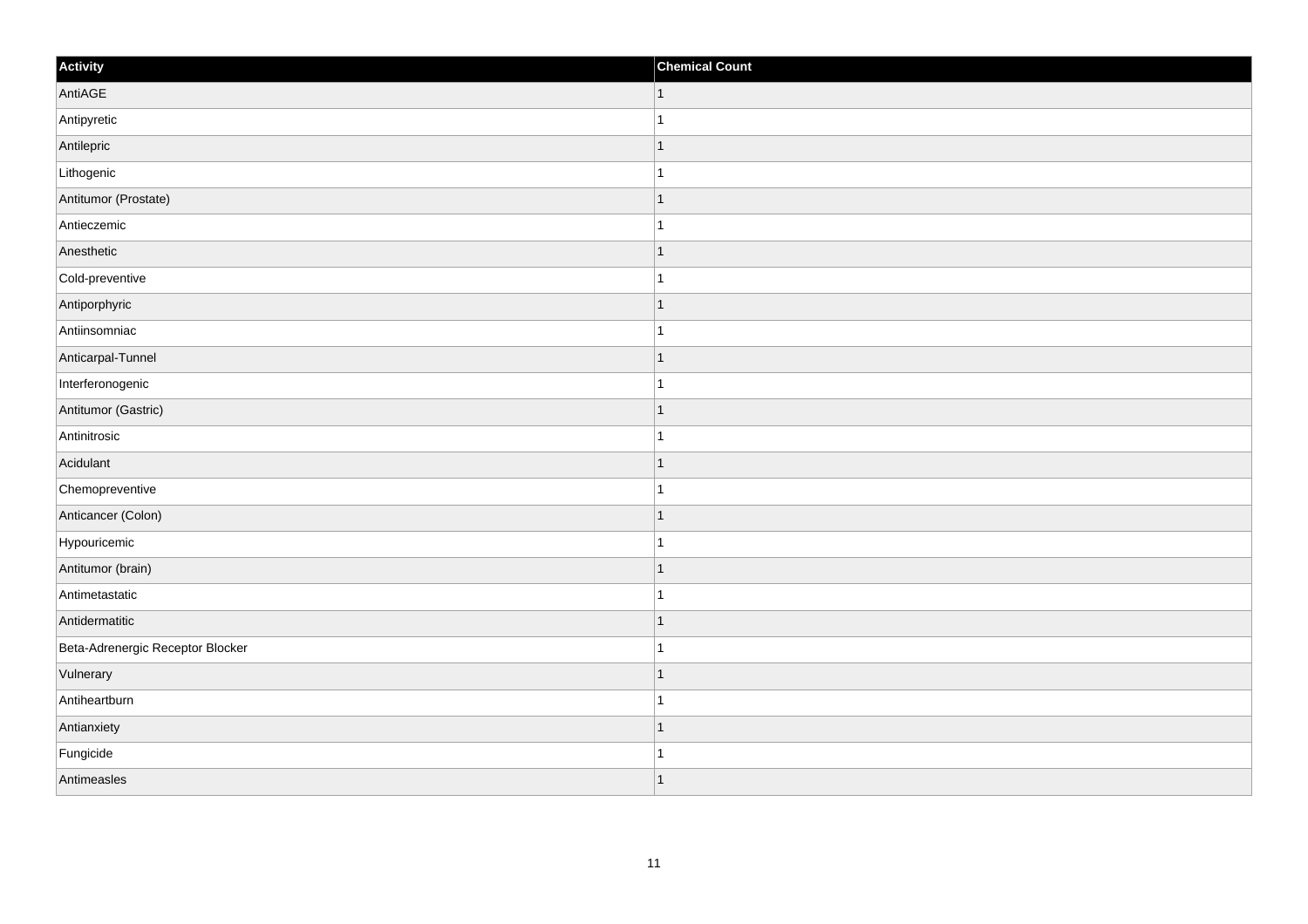| Activity                         | <b>Chemical Count</b>    |
|----------------------------------|--------------------------|
| AntiAGE                          | $\vert$ 1                |
| Antipyretic                      |                          |
| Antilepric                       |                          |
| Lithogenic                       |                          |
| Antitumor (Prostate)             | $\overline{\phantom{a}}$ |
| Antieczemic                      |                          |
| Anesthetic                       | 1                        |
| Cold-preventive                  | 1                        |
| Antiporphyric                    |                          |
| Antiinsomniac                    |                          |
| Anticarpal-Tunnel                |                          |
| Interferonogenic                 |                          |
| Antitumor (Gastric)              | 1                        |
| Antinitrosic                     | 1                        |
| Acidulant                        |                          |
| Chemopreventive                  |                          |
| Anticancer (Colon)               |                          |
| Hypouricemic                     |                          |
| Antitumor (brain)                | 1                        |
| Antimetastatic                   | -1                       |
| Antidermatitic                   | ٠                        |
| Beta-Adrenergic Receptor Blocker |                          |
| Vulnerary                        | 1                        |
| Antiheartburn                    |                          |
| Antianxiety                      | 1                        |
| Fungicide                        |                          |
| Antimeasles                      | $\overline{\phantom{a}}$ |